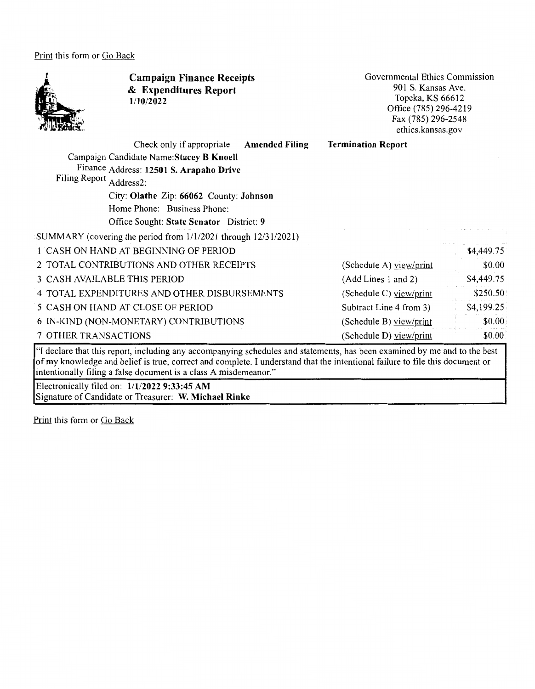Print this form or Go Back



**Campaign Finance Receipts**  & **Expenditures Report 1/10/2022** 

Governmental Ethics Commission 901 S. Kansas Ave. Topeka, KS 66612 Office (785) 296-4219 Fax (785) 296-2548 ethics.kansas.gov

\$0.00

\$0.00 \$0.00

Check only if appropriate **Amended Filing**  Campaign Candidate **Name:Stacey B Knoell**  Finance Address: **12501 S. Arapaho Drive**  Filing Report Address2: City: **Olathe** Zip: **66062** County: **Johnson**  Home Phone: Business Phone: Office Sought: **State Senator** District: **9**  SUMMARY (covering the period from 1/1/2021 through 12/31/2021) I CASH ON HAND AT BEGINNING OF PERIOD 2 TOTAL CONTRIBUTIONS AND OTHER RECEIPTS 3 CASH AVAILABLE THIS PERIOD 4 TOTAL EXPENDITURES AND OTHER DISBURSEMENTS 5 CASH ON HAND AT CLOSE OF PERIOD 6 IN-KIND (NON-MONETARY) CONTRIBUTIONS 7 OTHER TRANSACTIONS **Termination Report**  (Schedule A) view/print (Add Lines 1 and 2) (Schedule C) view/print Subtract Line 4 from 3) (Schedule B) view/print (Schedule D) view/print \$4,449.75 \$4,449.75 \$250.50 \$4,199.25 "I declare that this report, including any accompanying schedules and statements, has been examined by me and to the best of my knowledge and belief is true, correct and complete. I understand that the intentional failure to file this document or intentionally filing a false document is a class A misdemeanor." Electronically filed on: **1/1/2022 9:33:45 AM** 

Signature of Candidate or Treasurer: **W. Michael Rinke** 

Print this form or Go Back